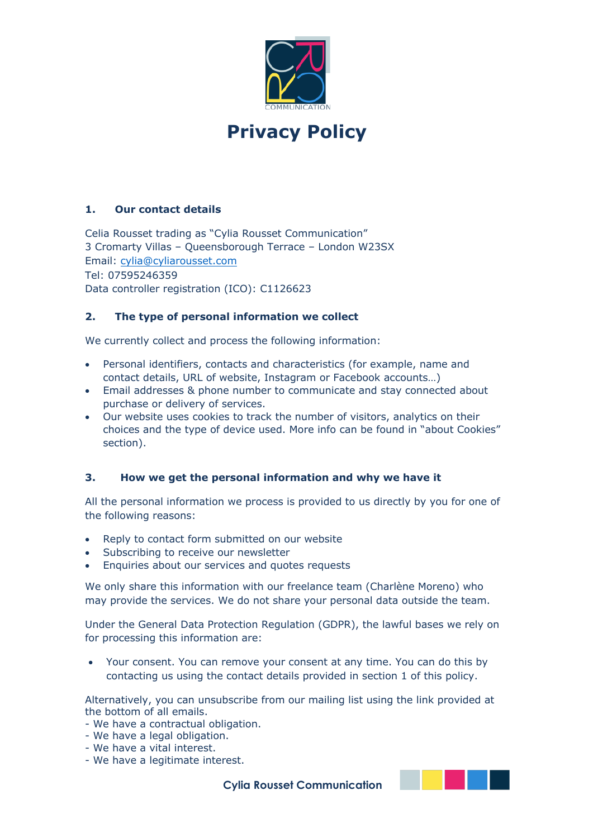

# **1. Our contact details**

Celia Rousset trading as "Cylia Rousset Communication" 3 Cromarty Villas – Queensborough Terrace – London W23SX Email: cylia@cyliarousset.com Tel: 07595246359 Data controller registration (ICO): C1126623

# **2. The type of personal information we collect**

We currently collect and process the following information:

- Personal identifiers, contacts and characteristics (for example, name and contact details, URL of website, Instagram or Facebook accounts…)
- Email addresses & phone number to communicate and stay connected about purchase or delivery of services.
- Our website uses cookies to track the number of visitors, analytics on their choices and the type of device used. More info can be found in "about Cookies" section).

## **3. How we get the personal information and why we have it**

All the personal information we process is provided to us directly by you for one of the following reasons:

- Reply to contact form submitted on our website
- Subscribing to receive our newsletter
- Enquiries about our services and quotes requests

We only share this information with our freelance team (Charlène Moreno) who may provide the services. We do not share your personal data outside the team.

Under the General Data Protection Regulation (GDPR), the lawful bases we rely on for processing this information are:

• Your consent. You can remove your consent at any time. You can do this by contacting us using the contact details provided in section 1 of this policy.

Alternatively, you can unsubscribe from our mailing list using the link provided at the bottom of all emails.

- We have a contractual obligation.
- We have a legal obligation.
- We have a vital interest.
- We have a legitimate interest.

 **Cylia Rousset Communication**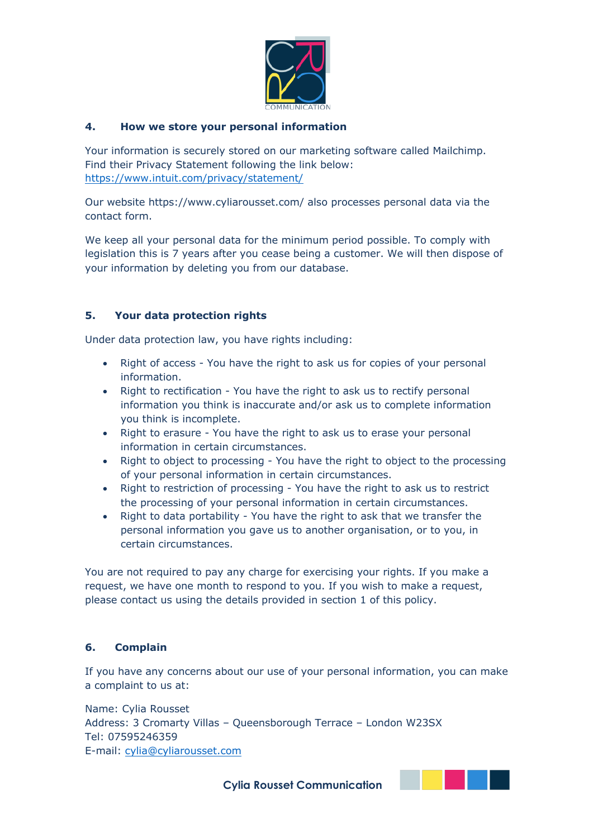

# **4. How we store your personal information**

Your information is securely stored on our marketing software called Mailchimp. Find their Privacy Statement following the link below: https://www.intuit.com/privacy/statement/

Our website https://www.cyliarousset.com/ also processes personal data via the contact form.

We keep all your personal data for the minimum period possible. To comply with legislation this is 7 years after you cease being a customer. We will then dispose of your information by deleting you from our database.

# **5. Your data protection rights**

Under data protection law, you have rights including:

- Right of access You have the right to ask us for copies of your personal information.
- Right to rectification You have the right to ask us to rectify personal information you think is inaccurate and/or ask us to complete information you think is incomplete.
- Right to erasure You have the right to ask us to erase your personal information in certain circumstances.
- Right to object to processing You have the right to object to the processing of your personal information in certain circumstances.
- Right to restriction of processing You have the right to ask us to restrict the processing of your personal information in certain circumstances.
- Right to data portability You have the right to ask that we transfer the personal information you gave us to another organisation, or to you, in certain circumstances.

You are not required to pay any charge for exercising your rights. If you make a request, we have one month to respond to you. If you wish to make a request, please contact us using the details provided in section 1 of this policy.

## **6. Complain**

If you have any concerns about our use of your personal information, you can make a complaint to us at:

Name: Cylia Rousset Address: 3 Cromarty Villas – Queensborough Terrace – London W23SX Tel: 07595246359 E-mail: cylia@cyliarousset.com